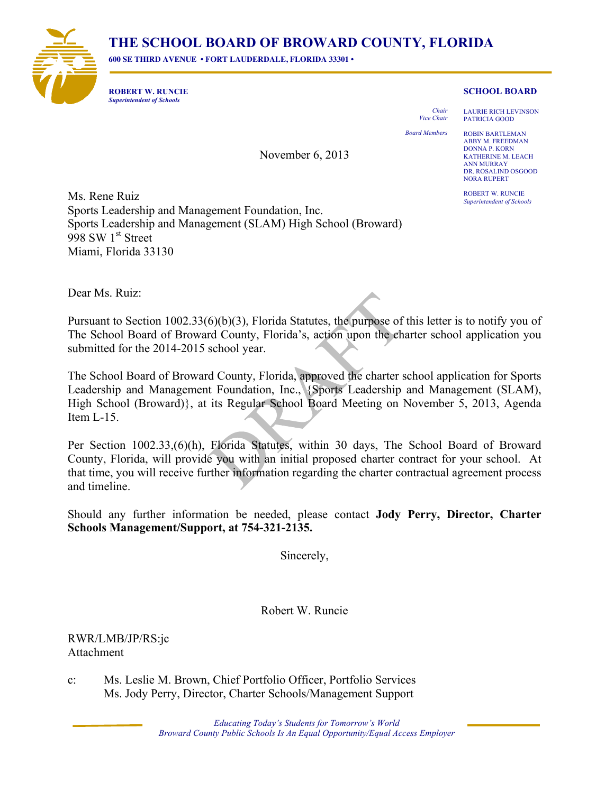## **THE SCHOOL BOARD OF BROWARD COUNTY, FLORIDA**

November 6, 2013

**600 SE THIRD AVENUE • FORT LAUDERDALE, FLORIDA 33301 •** 



**ROBERT W. RUNCIE** *Superintendent of Schools*

## **SCHOOL BOARD**

*Vice Chair*

*Chair*

LAURIE RICH LEVINSON PATRICIA GOOD

*Board Members*

ROBIN BARTLEMAN ABBY M. FREEDMAN DONNA P. KORN KATHERINE M. LEACH ANN MURRAY DR. ROSALIND OSGOOD NORA RUPERT

ROBERT W. RUNCIE *Superintendent of Schools*

Ms. Rene Ruiz Sports Leadership and Management Foundation, Inc. Sports Leadership and Management (SLAM) High School (Broward) 998 SW  $1<sup>st</sup>$  Street Miami, Florida 33130

Dear Ms. Ruiz:

Pursuant to Section 1002.33(6)(b)(3), Florida Statutes, the purpose of this letter is to notify by  $\alpha$ The School Board of Broward County, Florida's, action upon the charter school application you submitted for the 2014-2015 school year. BENJAMIN J. WILLIAMS ANN MURRAY

The School Board of Broward County, Florida, approved the charter school application for Sports Leadership and Management Foundation, Inc., *{Sports Leadership and Management (SAAM)*, High School (Broward)}, at its Regular School Board Meeting on November 5, Agenda Senach Item L-15. ROBIN BARTLEMAN NORA RUPERT

ROBERT W. RUNCIE

Per Section 1002.33,(6)(h), Florida Statutes, within 30 days, The School Board of Broward County, Florida, will provide you with an initial proposed charter contract for your school. At that time, you will receive further information regarding the charter contractual agreement process and timeline.

Should any further information be needed, please contact **Jody Perry, Director, Charter Schools Management/Support, at 754-321-2135.**

Sincerely,

Robert W. Runcie

## RWR/LMB/JP/RS:jc Attachment

c: Ms. Leslie M. Brown, Chief Portfolio Officer, Portfolio Services Ms. Jody Perry, Director, Charter Schools/Management Support